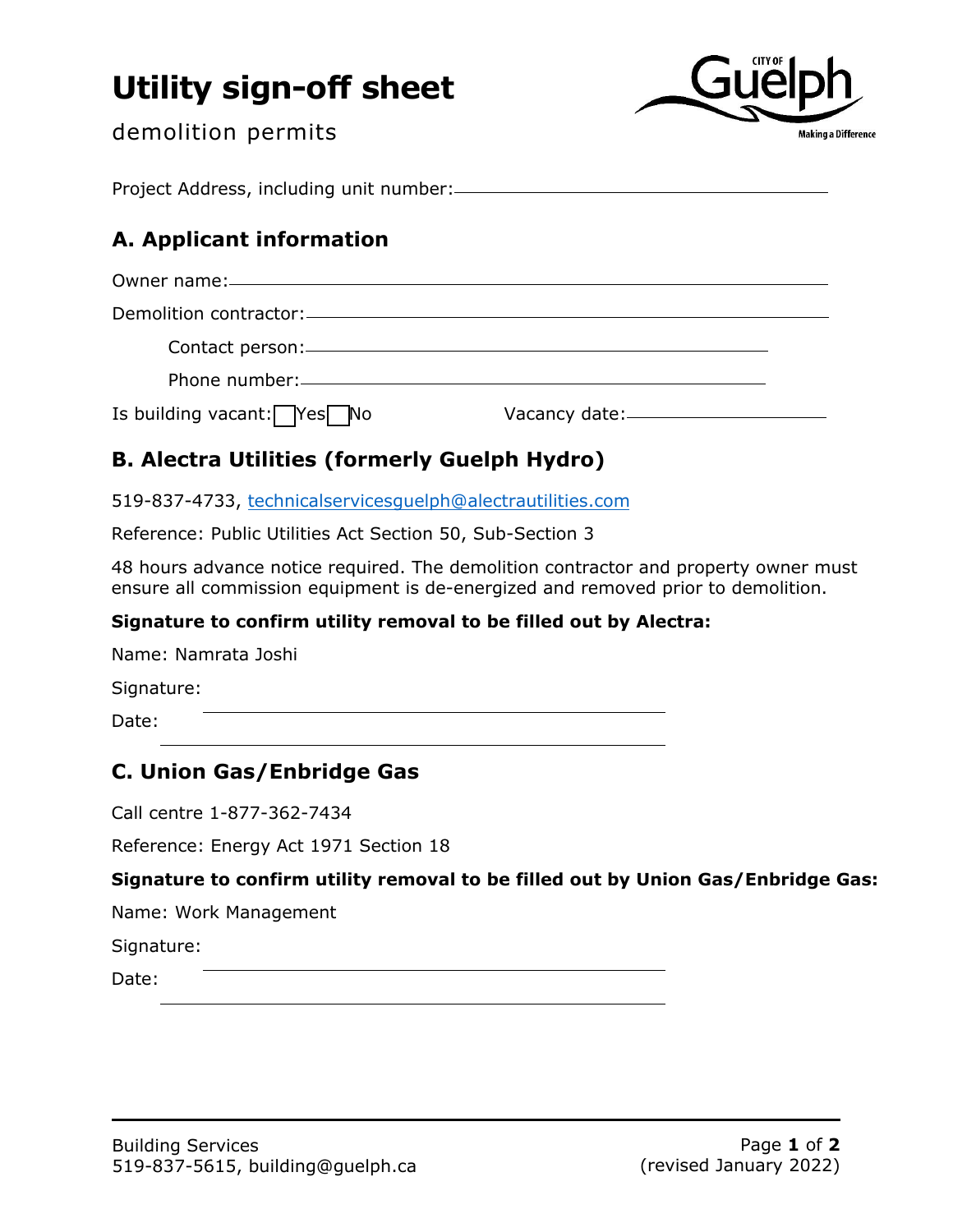# **Utility sign-off sheet**



demolition permits

Project Address, including unit number:

# **A. Applicant information**

| Is building vacant: $\sqrt{Y}$ es No |  |
|--------------------------------------|--|

# **B. Alectra Utilities (formerly Guelph Hydro)**

519-837-4733, technicalservicesguelph@alectrautilities.com

Reference: Public Utilities Act Section 50, Sub-Section 3

48 hours advance notice required. The demolition contractor and property owner must ensure all commission equipment is de-energized and removed prior to demolition.

## **Signature to confirm utility removal to be filled out by Alectra:**

Name: Namrata Joshi

Signature:

Date:

## **C. Union Gas/Enbridge Gas**

Call centre 1-877-362-7434

Reference: Energy Act 1971 Section 18

## **Signature to confirm utility removal to be filled out by Union Gas/Enbridge Gas:**

Name: Work Management

Signature:

Date: